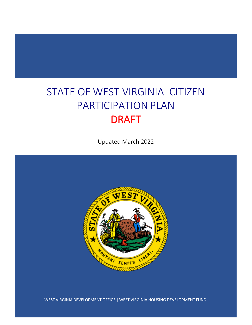# STATE OF WEST VIRGINIA CITIZEN PARTICIPATION PLAN DRAFT

Updated March 2022



WEST VIRGINIA DEVELOPMENT OFFICE | WEST VIRGINIA HOUSING DEVELOPMENT FUND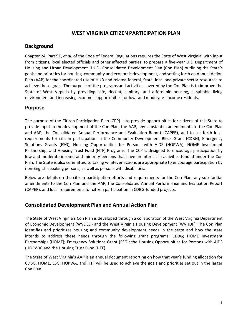# **WEST VIRGINIA CITIZEN PARTICIPATION PLAN**

#### **Background**

Chapter 24, Part 91, *et al.* of the Code of Federal Regulations requires the State of West Virginia, with input from citizens, local elected officials and other affected parties, to prepare a five-year U.S. Department of Housing and Urban Development (HUD) Consolidated Development Plan (Con Plan) outlining the State's goals and priorities for housing, community and economic development, and setting forth an Annual Action Plan (AAP) for the coordinated use of HUD and related federal, State, local and private sector resources to achieve these goals. The purpose of the programs and activities covered by the Con Plan is to improve the State of West Virginia by providing safe, decent, sanitary, and affordable housing, a suitable living environment and increasing economic opportunities for low- and moderate- income residents.

#### **Purpose**

The purpose of the Citizen Participation Plan (CPP) is to provide opportunities for citizens of this State to provide input in the development of the Con Plan, the AAP, any substantial amendments to the Con Plan and AAP, the Consolidated Annual Performance and Evaluation Report (CAPER), and to set forth local requirements for citizen participation in the Community Development Block Grant (CDBG), Emergency Solutions Grants (ESG), Housing Opportunities for Persons with AIDS (HOPWA), HOME Investment Partnership, and Housing Trust Fund (HTF) Programs. The CCP is designed to encourage participation by low-and moderate-income and minority persons that have an interest in activities funded under the Con Plan. The State is also committed to taking whatever actions are appropriate to encourage participation by non-English speaking persons, as well as persons with disabilities.

Below are details on the citizen participation efforts and requirements for the Con Plan, any substantial amendments to the Con Plan and the AAP, the Consolidated Annual Performance and Evaluation Report (CAPER), and local requirements for citizen participation in CDBG-funded projects.

## **Consolidated Development Plan and Annual Action Plan**

The State of West Virginia's Con Plan is developed through a collaboration of the West Virginia Department of Economic Development (WVDED) and the West Virginia Housing Development (WVHDF). The Con Plan identifies and prioritizes housing and community development needs in the state and how the state intends to address these needs through the following grant programs: CDBG; HOME Investment Partnerships (HOME); Emergency Solutions Grant (ESG); the Housing Opportunities for Persons with AIDS (HOPWA) and the Housing Trust Fund (HTF).

The State of West Virginia's AAP is an annual document reporting on how that year's funding allocation for CDBG, HOME, ESG, HOPWA, and HTF will be used to achieve the goals and priorities set out in the larger Con Plan.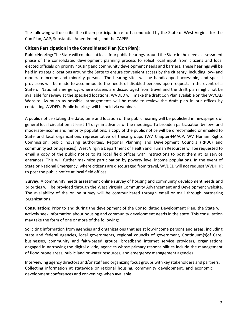The following will describe the citizen participation efforts conducted by the State of West Virginia for the Con Plan, AAP, Substantial Amendments, and the CAPER.

#### **Citizen Participation in the Consolidated Plan (Con Plan):**

**Public Hearing:** The State will conduct at least four public hearings around the State in the needs- assessment phase of the consolidated development planning process to solicit local input from citizens and local elected officials on priority housing and community development needs and barriers. These hearings will be held in strategic locations around the State to ensure convenient access by the citizenry, including low- and moderate-income and minority persons. The hearing sites will be handicapped accessible, and special provisions will be made to accommodate the needs of disabled persons upon request. In the event of a State or National Emergency, where citizens are discouraged from travel and the draft plan might not be available for review at the specified locations, WVDED will make the draft Con Plan available on the WVCAD Website. As much as possible, arrangements will be made to review the draft plan in our offices by contacting WVDED. Public hearings will be held via webinar.

A public notice stating the date, time and location of the public hearing will be published in newspapers of general local circulation at least 14 days in advance of the meetings. To broaden participation by low- and moderate-income and minority populations, a copy of the public notice will be direct-mailed or emailed to State and local organizations representative of these groups (WV Chapter-NAACP, WV Human Rights Commission, public housing authorities, Regional Planning and Development Councils (RPDC) and community action agencies). West Virginia Department of Health and Human Resources will be requested to email a copy of the public notice to its local field offices with instructions to post them at its service entrances. This will further maximize participation by poverty level income populations. In the event of State or National Emergency, where citizens are discouraged from travel, WVDED will not request WVDHHR to post the public notice at local field offices.

**Survey:** A community needs assessment online survey of housing and community development needs and priorities will be provided through the West Virginia Community Advancement and Development website. The availability of the online survey will be communicated through email or mail through partnering organizations.

**Consultation:** Prior to and during the development of the Consolidated Development Plan, the State will actively seek information about housing and community development needs in the state. This consultation may take the form of one or more of the following:

Soliciting information from agencies and organizations that assist low-income persons and areas, including state and federal agencies, local governments, regional councils of government, Continuum(s)of Care, businesses, community and faith-based groups, broadband internet service providers, organizations engaged in narrowing the digital divide, agencies whose primary responsibilities include the management of flood prone areas, public land or water resources, and emergency management agencies.

Interviewing agency directors and/or staff and organizing focus groups with key stakeholders and partners. Collecting information at statewide or regional housing, community development, and economic development conferences and convenings when available.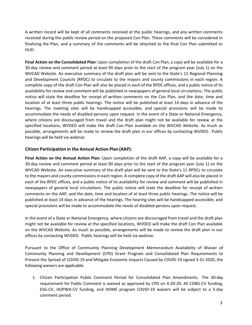A written record will be kept of all comments received at the public hearings, and any written comments received during the public review period on the proposed Con Plan. These comments will be considered in finalizing the Plan, and a summary of the comments will be attached to the final Con Plan submitted to HUD.

**Final Action on the Consolidated Plan:** Upon completion of the draft Con Plan, a copy will be available for a 30-day review and comment period at least 90 days prior to the start of the program year (July 1) on the WVCAD Website. An executive summary of the draft plan will be sent to the State's 11 Regional Planning and Development Councils (RPDC) to circulate to the mayors and county commissions in each region. A complete copy of the draft Con Plan will also be placed in each of the RPDC offices, and a public notice of its availability for review and comment will be published in newspapers of general local circulations. The public notice will state the deadline for receipt of written comments on the Con Plan, and the date, time and location of at least three public hearings. The notice will be published at least 14 days in advance of the hearings. The meeting sites will be handicapped accessible, and special provisions will be made to accommodate the needs of disabled persons upon request. In the event of a State or National Emergency, where citizens are discouraged from travel and the draft plan might not be available for review at the specified locations, WVDED will make the draft Con Plan available on the WVCAD Website. As much as possible, arrangements will be made to review the draft plan in our offices by contacting WVDED. Public hearings will be held via webinar.

#### **Citizen Participation in the Annual Action Plan (AAP):**

**Final Action on the Annual Action Plan:** Upon completion of the draft AAP, a copy will be available for a 30-day review and comment period at least 90 days prior to the start of the program year (July 1) on the WVCAD Website. An executive summary of the draft plan will be sent to the State's 11 RPDCs to circulate to the mayors and county commissions in each region. A complete copy of the draft AAP will also be placed in each of the RPDC offices, and a public notice of its availability for review and comment will be published in newspapers of general local circulations. The public notice will state the deadline for receipt of written comments on the AAP, and the date, time and location of at least three public hearings. The notice will be published at least 14 days in advance of the hearings. The hearing sites will be handicapped accessible, and special provisions will be made to accommodate the needs of disabled persons upon request.

In the event of a State or National Emergency, where citizens are discouraged from travel and the draft plan might not be available for review at the specified locations, WVDED will make the draft Con Plan available on the WVCAD Website. As much as possible, arrangements will be made to review the draft plan in our offices by contacting WVDED. Public hearings will be held via webinar.

Pursuant to the Office of Community Planning Development Memorandum Availability of Waiver of Community Planning and Development (CPD) Grant Program and Consolidated Plan Requirements to Prevent the Spread of COVID-19 and Mitigate Economic Impacts Caused by COVID-19 signed 3-31-2020, the following waivers are applicable:

1. Citizen Participation Public Comment Period for Consolidated Plan Amendments. The 30-day requirement for Public Comment is waived as approved by CPD on 4-20-20. All CDBG-CV funding, ESG-CV, HOPWA-CV funding, and HOME program COVID-19 waivers will be subject to a 5-day comment period.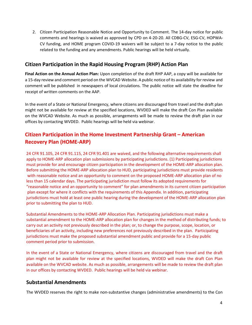2. Citizen Participation Reasonable Notice and Opportunity to Comment. The 14-day notice for public comments and hearings is waived as approved by CPD on 4-20-20. All CDBG-CV, ESG-CV, HOPWA-CV funding, and HOME program COVID-19 waivers will be subject to a 7-day notice to the public related to the funding and any amendments. Public hearings will be held virtually.

# **Citizen Participation in the Rapid Housing Program (RHP) Action Plan**

**Final Action on the Annual Action Plan:** Upon completion of the draft RHP AAP, a copy will be available for a 15-day review and comment period on the WVCAD Website. A public notice of its availability forreview and comment will be published in newspapers of local circulations. The public notice will state the deadline for receipt of written comments on the AAP.

In the event of a State or National Emergency, where citizens are discouraged from travel and the draft plan might not be available for review at the specified locations, WVDED will make the draft Con Plan available on the WVCAD Website. As much as possible, arrangements will be made to review the draft plan in our offices by contacting WVDED. Public hearings will be held via webinar.

# **Citizen Participation in the Home Investment Partnership Grant – American Recovery Plan (HOME-ARP)**

24 CFR 91.105, 24 CFR 91.115, 24 CFR 91.401 are waived, and the following alternative requirements shall apply to HOME-ARP allocation plan submissions by participating jurisdictions. (1) Participating jurisdictions must provide for and encourage citizen participation in the development of the HOME-ARP allocation plan. Before submitting the HOME-ARP allocation plan to HUD, participating jurisdictions must provide residents with reasonable notice and an opportunity to comment on the proposed HOME-ARP allocation plan of no less than 15 calendar days. The participating jurisdiction must follow its adopted requirements for "reasonable notice and an opportunity to comment" for plan amendments in its current citizen participation plan except for where it conflicts with the requirements of this Appendix. In addition, participating jurisdictions must hold at least one public hearing during the development of the HOME-ARP allocation plan prior to submitting the plan to HUD.

Substantial Amendments to the HOME-ARP Allocation Plan. Participating jurisdictions must make a substantial amendment to the HOME-ARP allocation plan for changes in the method of distributing funds; to carry out an activity not previously described in the plan; or, to change the purpose, scope, location, or beneficiaries of an activity, including new preferences not previously described in the plan. Participating jurisdictions must make the proposed substantial amendment public and provide for a 15-day public comment period prior to submission.

In the event of a State or National Emergency, where citizens are discouraged from travel and the draft plan might not be available for review at the specified locations, WVDED will make the draft Con Plan available on the WVCAD website. As much as possible, arrangements will be made to review the draft plan in our offices by contacting WVDED. Public hearings will be held via webinar.

## **Substantial Amendments**

The WVDED reserves the right to make non-substantive changes (administrative amendments) to the Con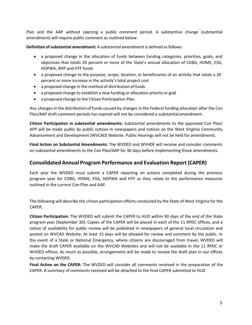Plan and the AAP without opening a public comment period. A substantive change (substantial amendment) will require public comment as outlined below.

**Definition ofsubstantial amendment:** A substantial amendment is defined as follows:

- a proposed change in the allocation of funds between funding categories, priorities, goals, and objectives that totals 20 percent or more of the State's annual allocation of CDBG, HOME, ESG, HOPWA, RHP and HTF funds
- a proposed change to the purpose, scope, location, or beneficiaries of an activity that totals a 20 percent or more increase in the activity's total project cost
- a proposed change in the method of distribution of funds
- a proposed change to establish a new funding or allocation priority or goal
- a proposed change to the Citizen Participation Plan.

Any changes in the distribution of funds caused by changes in the Federal funding allocation after the Con Plan/AAP draft comment periods has expired will not be considered a substantial amendment.

**Citizen Participation in substantial amendments:** Substantial amendments to the approved Con Plan/ APP will be made public by public notices in newspapers and notices on the West Virginia Community Advancement and Development (WVCAD) Website. Public Hearings will not be held for amendments.

**Final Action on Substantial Amendments:** The WVDED and WVHDF will receive and consider comments on substantial amendments to the Con Plan/AAP for 30 days before implementing those amendments.

## **Consolidated Annual Program Performance and Evaluation Report (CAPER)**

Each year the WVDED must submit a CAPER reporting on actions completed during the previous program year for CDBG, HOME, ESG, HOPWA and HTF as they relate to the performance measures outlined in the current Con Plan and AAP.

The following will describe the citizen participation efforts conducted by the State of West Virginia for the CAPER.

**Citizen Participation:** The WVDED will submit the CAPER to HUD within 90 days of the end of the State program year (September 30). Copies of the CAPER will be placed in each of the 11 RPDC offices, and a notice of availability for public review will be published in newspapers of general local circulation and posted on WVCAD Website. At least 15 days will be allowed for review and comment by the public. In the event of a State or National Emergency, where citizens are discouraged from travel, WVDED will make the draft CAPER available on the WVCAD Websites and will not be available in the 11 RPDC or WVDED offices. As much as possible, arrangements will be made to review the draft plan in our offices by contacting WVDED.

**Final Action on the CAPER:** The WVDED will consider all comments received in the preparation of the CAPER. A summary of comments received will be attached to the final CAPER submitted to HUD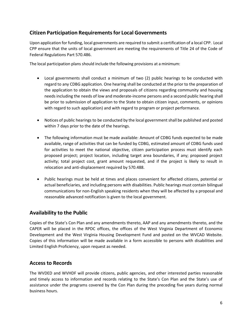# **Citizen Participation Requirementsfor Local Governments**

Upon application for funding, local governments are required to submit a certification of a local CPP. Local CPP ensure that the units of local government are meeting the requirements of Title 24 of the Code of Federal Regulations Part 570.486.

The local participation plans should include the following provisions at a minimum:

- Local governments shall conduct a minimum of two (2) public hearings to be conducted with regard to any CDBG application. One hearing shall be conducted at the prior to the preparation of the application to obtain the views and proposals of citizens regarding community and housing needs including the needs of low and moderate-income persons and a second public hearing shall be prior to submission of application to the State to obtain citizen input, comments, or opinions with regard to such application) and with regard to program or project performance.
- Notices of public hearings to be conducted by the local government shall be published and posted within 7 days prior to the date of the hearings.
- The following information must be made available: Amount of CDBG funds expected to be made available, range of activities that can be funded by CDBG, estimated amount of CDBG funds used for activities to meet the national objective, citizen participation process must identify each proposed project; project location, including target area boundaries, if any; proposed project activity; total project cost, grant amount requested, and if the project is likely to result in relocation and anti-displacement required by 570.488.
- Public hearings must be held at times and places convenient for affected citizens, potential or actual beneficiaries, and including persons with disabilities. Public hearings must contain bilingual communications for non-English speaking residents when they will be affected by a proposal and reasonable advanced notification is given to the local government.

# **Availability to the Public**

Copies of the State's Con Plan and any amendments thereto, AAP and any amendments thereto, and the CAPER will be placed in the RPDC offices, the offices of the West Virginia Department of Economic Development and the West Virginia Housing Development Fund and posted on the WVCAD Website. Copies of this information will be made available in a form accessible to persons with disabilities and Limited English Proficiency, upon request as needed.

# **Access to Records**

The WVDED and WVHDF will provide citizens, public agencies, and other interested parties reasonable and timely access to information and records relating to the State's Con Plan and the State's use of assistance under the programs covered by the Con Plan during the preceding five years during normal business hours.